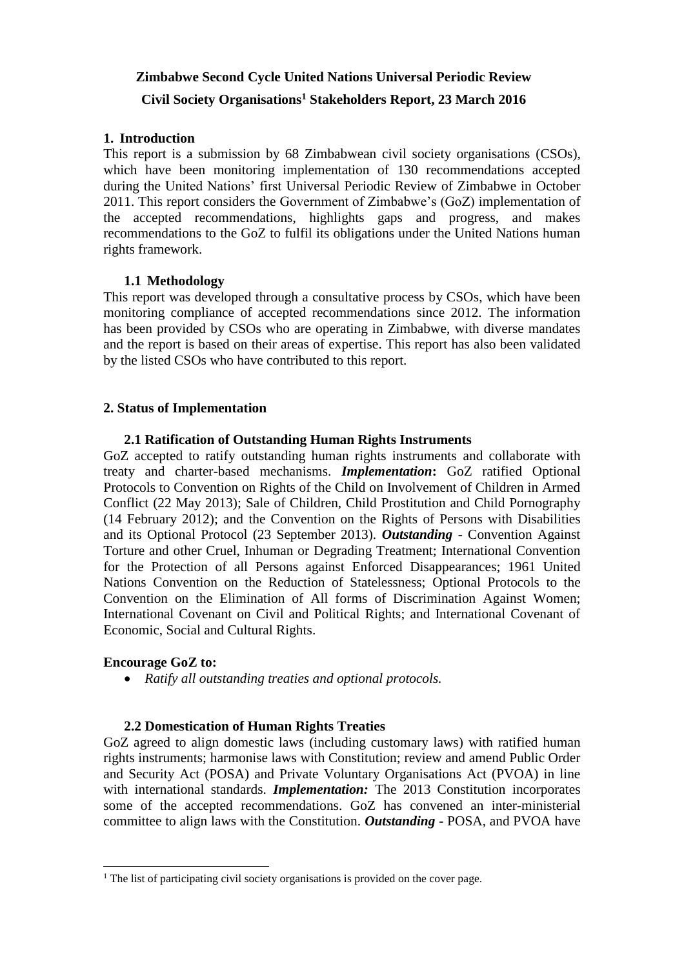# **Zimbabwe Second Cycle United Nations Universal Periodic Review Civil Society Organisations<sup>1</sup> Stakeholders Report, 23 March 2016**

#### **1. Introduction**

This report is a submission by 68 Zimbabwean civil society organisations (CSOs), which have been monitoring implementation of 130 recommendations accepted during the United Nations' first Universal Periodic Review of Zimbabwe in October 2011. This report considers the Government of Zimbabwe's (GoZ) implementation of the accepted recommendations, highlights gaps and progress, and makes recommendations to the GoZ to fulfil its obligations under the United Nations human rights framework.

#### **1.1 Methodology**

This report was developed through a consultative process by CSOs, which have been monitoring compliance of accepted recommendations since 2012. The information has been provided by CSOs who are operating in Zimbabwe, with diverse mandates and the report is based on their areas of expertise. This report has also been validated by the listed CSOs who have contributed to this report.

### **2. Status of Implementation**

#### **2.1 Ratification of Outstanding Human Rights Instruments**

GoZ accepted to ratify outstanding human rights instruments and collaborate with treaty and charter-based mechanisms. *Implementation***:** GoZ ratified Optional Protocols to Convention on Rights of the Child on Involvement of Children in Armed Conflict (22 May 2013); Sale of Children, Child Prostitution and Child Pornography (14 February 2012); and the Convention on the Rights of Persons with Disabilities and its Optional Protocol (23 September 2013). *Outstanding* - Convention Against Torture and other Cruel, Inhuman or Degrading Treatment; International Convention for the Protection of all Persons against Enforced Disappearances; 1961 United Nations Convention on the Reduction of Statelessness; Optional Protocols to the Convention on the Elimination of All forms of Discrimination Against Women; International Covenant on Civil and Political Rights; and International Covenant of Economic, Social and Cultural Rights.

### **Encourage GoZ to:**

 $\overline{a}$ 

*Ratify all outstanding treaties and optional protocols.*

#### **2.2 Domestication of Human Rights Treaties**

GoZ agreed to align domestic laws (including customary laws) with ratified human rights instruments; harmonise laws with Constitution; review and amend Public Order and Security Act (POSA) and Private Voluntary Organisations Act (PVOA) in line with international standards. *Implementation:* The 2013 Constitution incorporates some of the accepted recommendations. GoZ has convened an inter-ministerial committee to align laws with the Constitution. *Outstanding* - POSA, and PVOA have

<sup>&</sup>lt;sup>1</sup> The list of participating civil society organisations is provided on the cover page.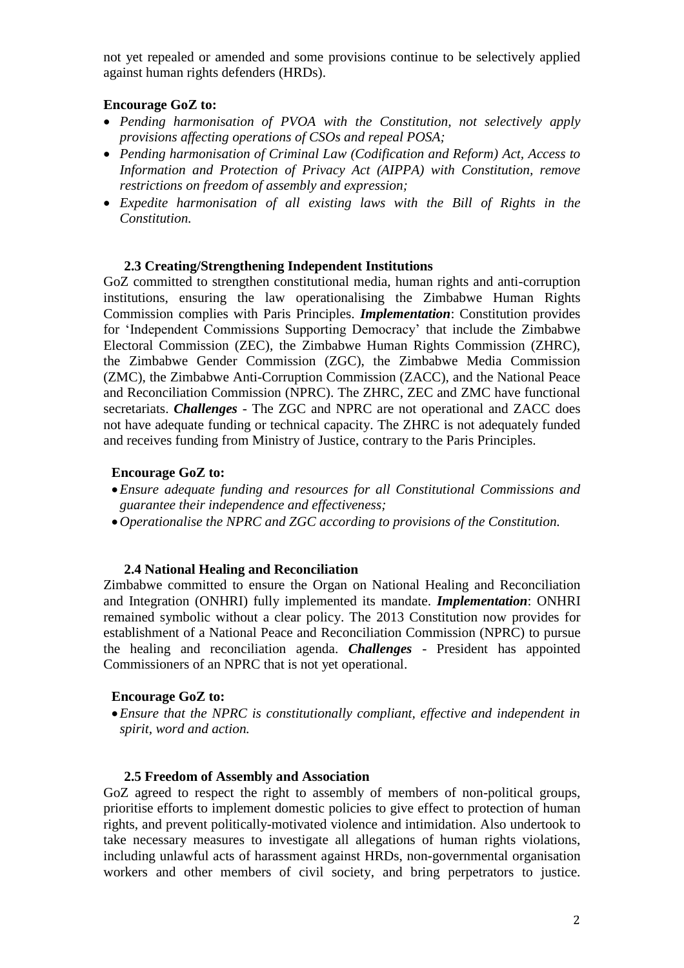not yet repealed or amended and some provisions continue to be selectively applied against human rights defenders (HRDs).

### **Encourage GoZ to:**

- *Pending harmonisation of PVOA with the Constitution, not selectively apply provisions affecting operations of CSOs and repeal POSA;*
- *Pending harmonisation of Criminal Law (Codification and Reform) Act, Access to Information and Protection of Privacy Act (AIPPA) with Constitution, remove restrictions on freedom of assembly and expression;*
- *Expedite harmonisation of all existing laws with the Bill of Rights in the Constitution.*

#### **2.3 Creating/Strengthening Independent Institutions**

GoZ committed to strengthen constitutional media, human rights and anti-corruption institutions, ensuring the law operationalising the Zimbabwe Human Rights Commission complies with Paris Principles. *Implementation*: Constitution provides for 'Independent Commissions Supporting Democracy' that include the Zimbabwe Electoral Commission (ZEC), the Zimbabwe Human Rights Commission (ZHRC), the Zimbabwe Gender Commission (ZGC), the Zimbabwe Media Commission (ZMC), the Zimbabwe Anti-Corruption Commission (ZACC), and the National Peace and Reconciliation Commission (NPRC). The ZHRC, ZEC and ZMC have functional secretariats. *Challenges -* The ZGC and NPRC are not operational and ZACC does not have adequate funding or technical capacity. The ZHRC is not adequately funded and receives funding from Ministry of Justice, contrary to the Paris Principles.

#### **Encourage GoZ to:**

- *Ensure adequate funding and resources for all Constitutional Commissions and guarantee their independence and effectiveness;*
- *Operationalise the NPRC and ZGC according to provisions of the Constitution.*

#### **2.4 National Healing and Reconciliation**

Zimbabwe committed to ensure the Organ on National Healing and Reconciliation and Integration (ONHRI) fully implemented its mandate. *Implementation*: ONHRI remained symbolic without a clear policy. The 2013 Constitution now provides for establishment of a National Peace and Reconciliation Commission (NPRC) to pursue the healing and reconciliation agenda. *Challenges* - President has appointed Commissioners of an NPRC that is not yet operational.

#### **Encourage GoZ to:**

*Ensure that the NPRC is constitutionally compliant, effective and independent in spirit, word and action.* 

#### **2.5 Freedom of Assembly and Association**

GoZ agreed to respect the right to assembly of members of non-political groups, prioritise efforts to implement domestic policies to give effect to protection of human rights, and prevent politically-motivated violence and intimidation. Also undertook to take necessary measures to investigate all allegations of human rights violations, including unlawful acts of harassment against HRDs, non-governmental organisation workers and other members of civil society, and bring perpetrators to justice.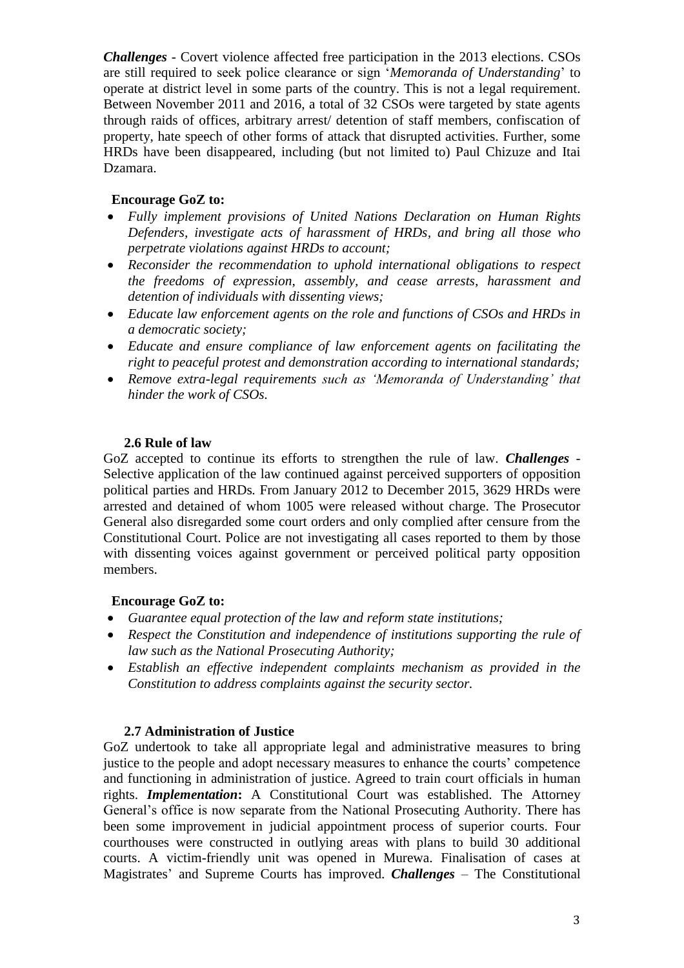*Challenges -* Covert violence affected free participation in the 2013 elections. CSOs are still required to seek police clearance or sign '*Memoranda of Understanding*' to operate at district level in some parts of the country. This is not a legal requirement. Between November 2011 and 2016, a total of 32 CSOs were targeted by state agents through raids of offices, arbitrary arrest/ detention of staff members, confiscation of property, hate speech of other forms of attack that disrupted activities. Further, some HRDs have been disappeared, including (but not limited to) Paul Chizuze and Itai Dzamara.

### **Encourage GoZ to:**

- *Fully implement provisions of United Nations Declaration on Human Rights Defenders, investigate acts of harassment of HRDs, and bring all those who perpetrate violations against HRDs to account;*
- *Reconsider the recommendation to uphold international obligations to respect the freedoms of expression, assembly, and cease arrests, harassment and detention of individuals with dissenting views;*
- *Educate law enforcement agents on the role and functions of CSOs and HRDs in a democratic society;*
- *Educate and ensure compliance of law enforcement agents on facilitating the right to peaceful protest and demonstration according to international standards;*
- *Remove extra-legal requirements such as 'Memoranda of Understanding' that hinder the work of CSOs.*

#### **2.6 Rule of law**

GoZ accepted to continue its efforts to strengthen the rule of law. *Challenges* - Selective application of the law continued against perceived supporters of opposition political parties and HRDs*.* From January 2012 to December 2015, 3629 HRDs were arrested and detained of whom 1005 were released without charge. The Prosecutor General also disregarded some court orders and only complied after censure from the Constitutional Court. Police are not investigating all cases reported to them by those with dissenting voices against government or perceived political party opposition members.

### **Encourage GoZ to:**

- *Guarantee equal protection of the law and reform state institutions;*
- *Respect the Constitution and independence of institutions supporting the rule of law such as the National Prosecuting Authority;*
- *Establish an effective independent complaints mechanism as provided in the Constitution to address complaints against the security sector.*

#### **2.7 Administration of Justice**

GoZ undertook to take all appropriate legal and administrative measures to bring justice to the people and adopt necessary measures to enhance the courts' competence and functioning in administration of justice. Agreed to train court officials in human rights. *Implementation***:** A Constitutional Court was established. The Attorney General's office is now separate from the National Prosecuting Authority. There has been some improvement in judicial appointment process of superior courts. Four courthouses were constructed in outlying areas with plans to build 30 additional courts. A victim-friendly unit was opened in Murewa. Finalisation of cases at Magistrates' and Supreme Courts has improved. *Challenges* – The Constitutional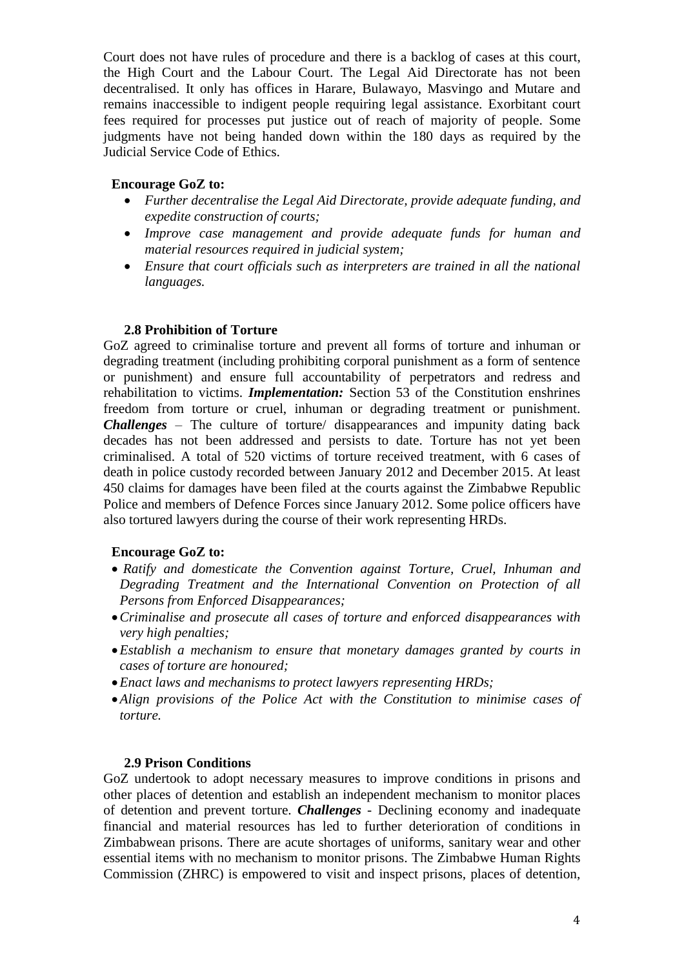Court does not have rules of procedure and there is a backlog of cases at this court, the High Court and the Labour Court. The Legal Aid Directorate has not been decentralised. It only has offices in Harare, Bulawayo, Masvingo and Mutare and remains inaccessible to indigent people requiring legal assistance. Exorbitant court fees required for processes put justice out of reach of majority of people. Some judgments have not being handed down within the 180 days as required by the Judicial Service Code of Ethics.

#### **Encourage GoZ to:**

- *Further decentralise the Legal Aid Directorate, provide adequate funding, and expedite construction of courts;*
- *Improve case management and provide adequate funds for human and material resources required in judicial system;*
- *Ensure that court officials such as interpreters are trained in all the national languages.*

#### **2.8 Prohibition of Torture**

GoZ agreed to criminalise torture and prevent all forms of torture and inhuman or degrading treatment (including prohibiting corporal punishment as a form of sentence or punishment) and ensure full accountability of perpetrators and redress and rehabilitation to victims. *Implementation:* Section 53 of the Constitution enshrines freedom from torture or cruel, inhuman or degrading treatment or punishment. *Challenges* – The culture of torture/ disappearances and impunity dating back decades has not been addressed and persists to date. Torture has not yet been criminalised. A total of 520 victims of torture received treatment, with 6 cases of death in police custody recorded between January 2012 and December 2015. At least 450 claims for damages have been filed at the courts against the Zimbabwe Republic Police and members of Defence Forces since January 2012. Some police officers have also tortured lawyers during the course of their work representing HRDs.

### **Encourage GoZ to:**

- *Ratify and domesticate the Convention against Torture, Cruel, Inhuman and Degrading Treatment and the International Convention on Protection of all Persons from Enforced Disappearances;*
- *Criminalise and prosecute all cases of torture and enforced disappearances with very high penalties;*
- *Establish a mechanism to ensure that monetary damages granted by courts in cases of torture are honoured;*
- *Enact laws and mechanisms to protect lawyers representing HRDs;*
- *Align provisions of the Police Act with the Constitution to minimise cases of torture.*

#### **2.9 Prison Conditions**

GoZ undertook to adopt necessary measures to improve conditions in prisons and other places of detention and establish an independent mechanism to monitor places of detention and prevent torture. *Challenges* - Declining economy and inadequate financial and material resources has led to further deterioration of conditions in Zimbabwean prisons. There are acute shortages of uniforms, sanitary wear and other essential items with no mechanism to monitor prisons. The Zimbabwe Human Rights Commission (ZHRC) is empowered to visit and inspect prisons, places of detention,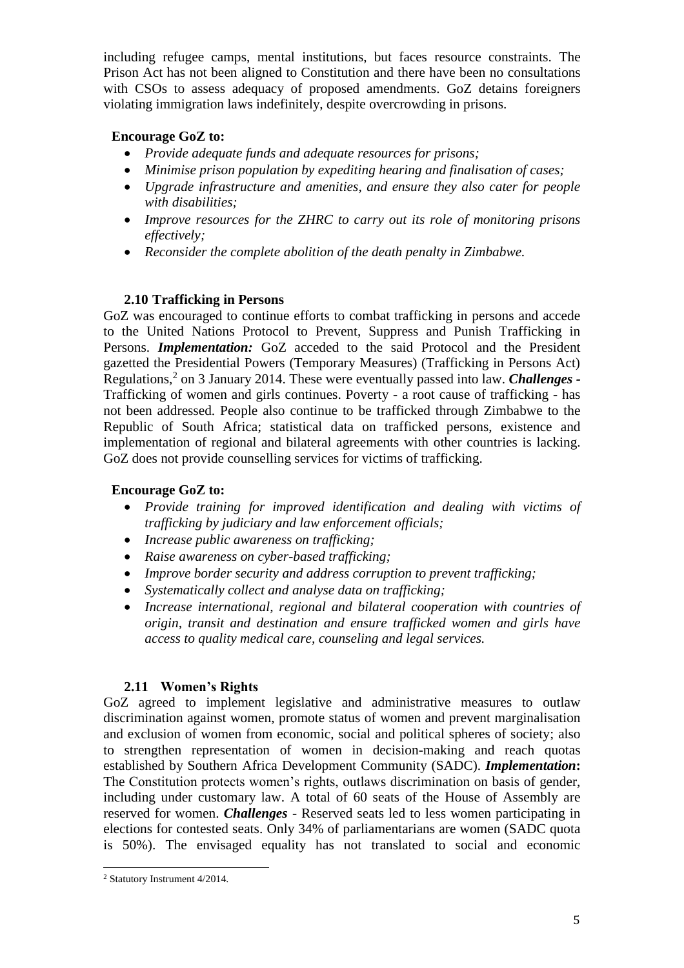including refugee camps, mental institutions, but faces resource constraints. The Prison Act has not been aligned to Constitution and there have been no consultations with CSOs to assess adequacy of proposed amendments. GoZ detains foreigners violating immigration laws indefinitely, despite overcrowding in prisons.

### **Encourage GoZ to:**

- *Provide adequate funds and adequate resources for prisons;*
- *Minimise prison population by expediting hearing and finalisation of cases;*
- *Upgrade infrastructure and amenities, and ensure they also cater for people with disabilities;*
- *Improve resources for the ZHRC to carry out its role of monitoring prisons effectively;*
- *Reconsider the complete abolition of the death penalty in Zimbabwe.*

### **2.10 Trafficking in Persons**

GoZ was encouraged to continue efforts to combat trafficking in persons and accede to the United Nations Protocol to Prevent, Suppress and Punish Trafficking in Persons. *Implementation:* GoZ acceded to the said Protocol and the President gazetted the Presidential Powers (Temporary Measures) (Trafficking in Persons Act) Regulations,<sup>2</sup> on 3 January 2014. These were eventually passed into law. *Challenges* -Trafficking of women and girls continues. Poverty - a root cause of trafficking - has not been addressed. People also continue to be trafficked through Zimbabwe to the Republic of South Africa; statistical data on trafficked persons, existence and implementation of regional and bilateral agreements with other countries is lacking. GoZ does not provide counselling services for victims of trafficking.

# **Encourage GoZ to:**

- *Provide training for improved identification and dealing with victims of trafficking by judiciary and law enforcement officials;*
- *Increase public awareness on trafficking;*
- *Raise awareness on cyber-based trafficking;*
- *Improve border security and address corruption to prevent trafficking;*
- *Systematically collect and analyse data on trafficking;*
- *Increase international, regional and bilateral cooperation with countries of origin, transit and destination and ensure trafficked women and girls have access to quality medical care, counseling and legal services.*

# **2.11 Women's Rights**

GoZ agreed to implement legislative and administrative measures to outlaw discrimination against women, promote status of women and prevent marginalisation and exclusion of women from economic, social and political spheres of society; also to strengthen representation of women in decision-making and reach quotas established by Southern Africa Development Community (SADC). *Implementation***:** The Constitution protects women's rights, outlaws discrimination on basis of gender, including under customary law. A total of 60 seats of the House of Assembly are reserved for women. *Challenges* - Reserved seats led to less women participating in elections for contested seats. Only 34% of parliamentarians are women (SADC quota is 50%). The envisaged equality has not translated to social and economic

 $\overline{a}$ <sup>2</sup> Statutory Instrument 4/2014.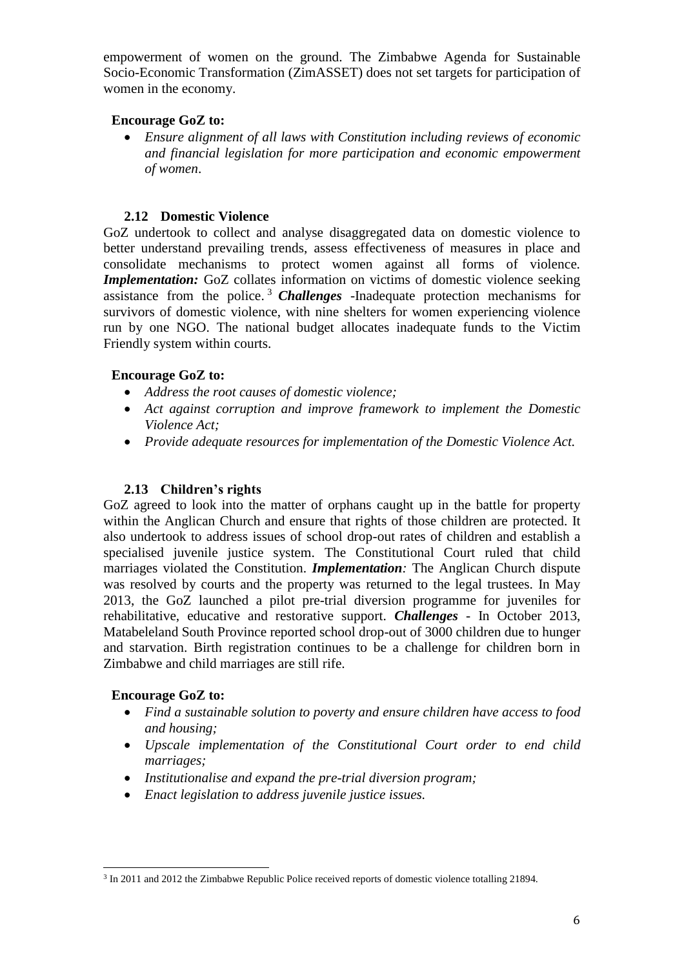empowerment of women on the ground. The Zimbabwe Agenda for Sustainable Socio-Economic Transformation (ZimASSET) does not set targets for participation of women in the economy.

#### **Encourage GoZ to:**

 *Ensure alignment of all laws with Constitution including reviews of economic and financial legislation for more participation and economic empowerment of women*.

### **2.12 Domestic Violence**

GoZ undertook to collect and analyse disaggregated data on domestic violence to better understand prevailing trends, assess effectiveness of measures in place and consolidate mechanisms to protect women against all forms of violence*. Implementation:* GoZ collates information on victims of domestic violence seeking assistance from the police. <sup>3</sup> *Challenges* -Inadequate protection mechanisms for survivors of domestic violence, with nine shelters for women experiencing violence run by one NGO. The national budget allocates inadequate funds to the Victim Friendly system within courts.

### **Encourage GoZ to:**

- *Address the root causes of domestic violence;*
- *Act against corruption and improve framework to implement the Domestic Violence Act;*
- *Provide adequate resources for implementation of the Domestic Violence Act.*

### **2.13 Children's rights**

GoZ agreed to look into the matter of orphans caught up in the battle for property within the Anglican Church and ensure that rights of those children are protected. It also undertook to address issues of school drop-out rates of children and establish a specialised juvenile justice system. The Constitutional Court ruled that child marriages violated the Constitution. *Implementation:* The Anglican Church dispute was resolved by courts and the property was returned to the legal trustees. In May 2013, the GoZ launched a pilot pre-trial diversion programme for juveniles for rehabilitative, educative and restorative support. *Challenges* - In October 2013, Matabeleland South Province reported school drop-out of 3000 children due to hunger and starvation. Birth registration continues to be a challenge for children born in Zimbabwe and child marriages are still rife.

#### **Encourage GoZ to:**

- *Find a sustainable solution to poverty and ensure children have access to food and housing;*
- *Upscale implementation of the Constitutional Court order to end child marriages;*
- *Institutionalise and expand the pre-trial diversion program;*
- *Enact legislation to address juvenile justice issues.*

 $\overline{a}$ <sup>3</sup> In 2011 and 2012 the Zimbabwe Republic Police received reports of domestic violence totalling 21894.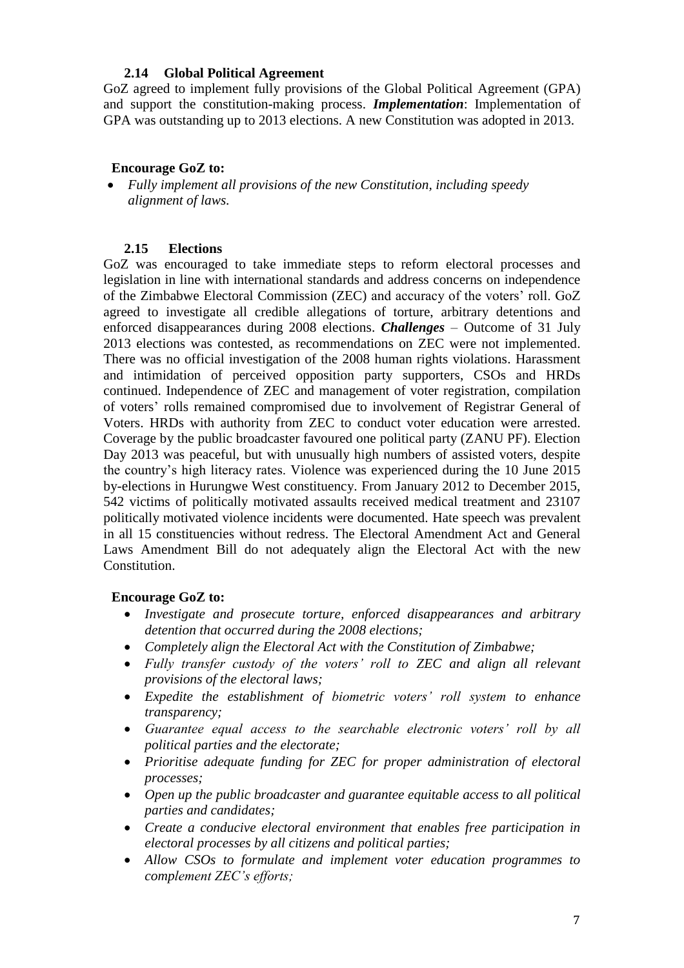#### **2.14 Global Political Agreement**

GoZ agreed to implement fully provisions of the Global Political Agreement (GPA) and support the constitution-making process. *Implementation*: Implementation of GPA was outstanding up to 2013 elections. A new Constitution was adopted in 2013.

### **Encourage GoZ to:**

 *Fully implement all provisions of the new Constitution, including speedy alignment of laws.*

### **2.15 Elections**

GoZ was encouraged to take immediate steps to reform electoral processes and legislation in line with international standards and address concerns on independence of the Zimbabwe Electoral Commission (ZEC) and accuracy of the voters' roll. GoZ agreed to investigate all credible allegations of torture, arbitrary detentions and enforced disappearances during 2008 elections. *Challenges* – Outcome of 31 July 2013 elections was contested, as recommendations on ZEC were not implemented. There was no official investigation of the 2008 human rights violations. Harassment and intimidation of perceived opposition party supporters, CSOs and HRDs continued. Independence of ZEC and management of voter registration, compilation of voters' rolls remained compromised due to involvement of Registrar General of Voters. HRDs with authority from ZEC to conduct voter education were arrested. Coverage by the public broadcaster favoured one political party (ZANU PF). Election Day 2013 was peaceful, but with unusually high numbers of assisted voters, despite the country's high literacy rates. Violence was experienced during the 10 June 2015 by-elections in Hurungwe West constituency. From January 2012 to December 2015, 542 victims of politically motivated assaults received medical treatment and 23107 politically motivated violence incidents were documented. Hate speech was prevalent in all 15 constituencies without redress. The Electoral Amendment Act and General Laws Amendment Bill do not adequately align the Electoral Act with the new Constitution.

### **Encourage GoZ to:**

- *Investigate and prosecute torture, enforced disappearances and arbitrary detention that occurred during the 2008 elections;*
- *Completely align the Electoral Act with the Constitution of Zimbabwe;*
- *Fully transfer custody of the voters' roll to ZEC and align all relevant provisions of the electoral laws;*
- *Expedite the establishment of biometric voters' roll system to enhance transparency;*
- *Guarantee equal access to the searchable electronic voters' roll by all political parties and the electorate;*
- *Prioritise adequate funding for ZEC for proper administration of electoral processes;*
- *Open up the public broadcaster and guarantee equitable access to all political parties and candidates;*
- *Create a conducive electoral environment that enables free participation in electoral processes by all citizens and political parties;*
- *Allow CSOs to formulate and implement voter education programmes to complement ZEC's efforts;*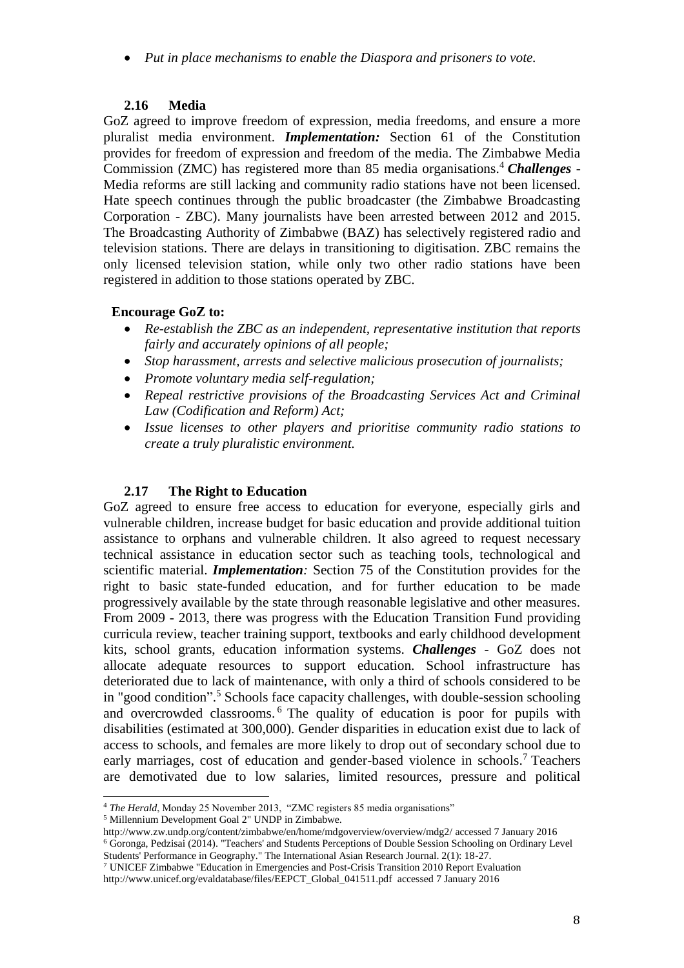*Put in place mechanisms to enable the Diaspora and prisoners to vote.*

# **2.16 Media**

GoZ agreed to improve freedom of expression, media freedoms, and ensure a more pluralist media environment. *Implementation:* Section 61 of the Constitution provides for freedom of expression and freedom of the media. The Zimbabwe Media Commission (ZMC) has registered more than 85 media organisations.<sup>4</sup> *Challenges* -Media reforms are still lacking and community radio stations have not been licensed. Hate speech continues through the public broadcaster (the Zimbabwe Broadcasting Corporation - ZBC). Many journalists have been arrested between 2012 and 2015. The Broadcasting Authority of Zimbabwe (BAZ) has selectively registered radio and television stations. There are delays in transitioning to digitisation. ZBC remains the only licensed television station, while only two other radio stations have been registered in addition to those stations operated by ZBC.

# **Encourage GoZ to:**

- *Re-establish the ZBC as an independent, representative institution that reports fairly and accurately opinions of all people;*
- *Stop harassment, arrests and selective malicious prosecution of journalists;*
- *Promote voluntary media self-regulation;*
- *Repeal restrictive provisions of the Broadcasting Services Act and Criminal Law (Codification and Reform) Act;*
- *Issue licenses to other players and prioritise community radio stations to create a truly pluralistic environment.*

# **2.17 The Right to Education**

GoZ agreed to ensure free access to education for everyone, especially girls and vulnerable children, increase budget for basic education and provide additional tuition assistance to orphans and vulnerable children. It also agreed to request necessary technical assistance in education sector such as teaching tools, technological and scientific material. *Implementation:* Section 75 of the Constitution provides for the right to basic state-funded education, and for further education to be made progressively available by the state through reasonable legislative and other measures. From 2009 - 2013, there was progress with the Education Transition Fund providing curricula review, teacher training support, textbooks and early childhood development kits, school grants, education information systems. *Challenges* - GoZ does not allocate adequate resources to support education. School infrastructure has deteriorated due to lack of maintenance, with only a third of schools considered to be in "good condition". <sup>5</sup> Schools face capacity challenges, with double-session schooling and overcrowded classrooms. <sup>6</sup> The quality of education is poor for pupils with disabilities (estimated at 300,000). Gender disparities in education exist due to lack of access to schools, and females are more likely to drop out of secondary school due to early marriages, cost of education and gender-based violence in schools.<sup>7</sup> Teachers are demotivated due to low salaries, limited resources, pressure and political

 $\overline{a}$ <sup>4</sup> *The Herald*, Monday 25 November 2013, "ZMC registers 85 media organisations"

<sup>5</sup> Millennium Development Goal 2" UNDP in Zimbabwe.

<http://www.zw.undp.org/content/zimbabwe/en/home/mdgoverview/overview/mdg2/> accessed 7 January 2016 <sup>6</sup> Goronga, Pedzisai (2014). "Teachers' and Students Perceptions of Double Session Schooling on Ordinary Level Students' Performance in Geography." The International Asian Research Journal. 2(1): 18-27.

<sup>7</sup> UNICEF Zimbabwe "Education in Emergencies and Post-Crisis Transition 2010 Report Evaluation [http://www.unicef.org/evaldatabase/files/EEPCT\\_Global\\_041511.pdf](http://www.unicef.org/evaldatabase/files/EEPCT_Global_041511.pdf) accessed 7 January 2016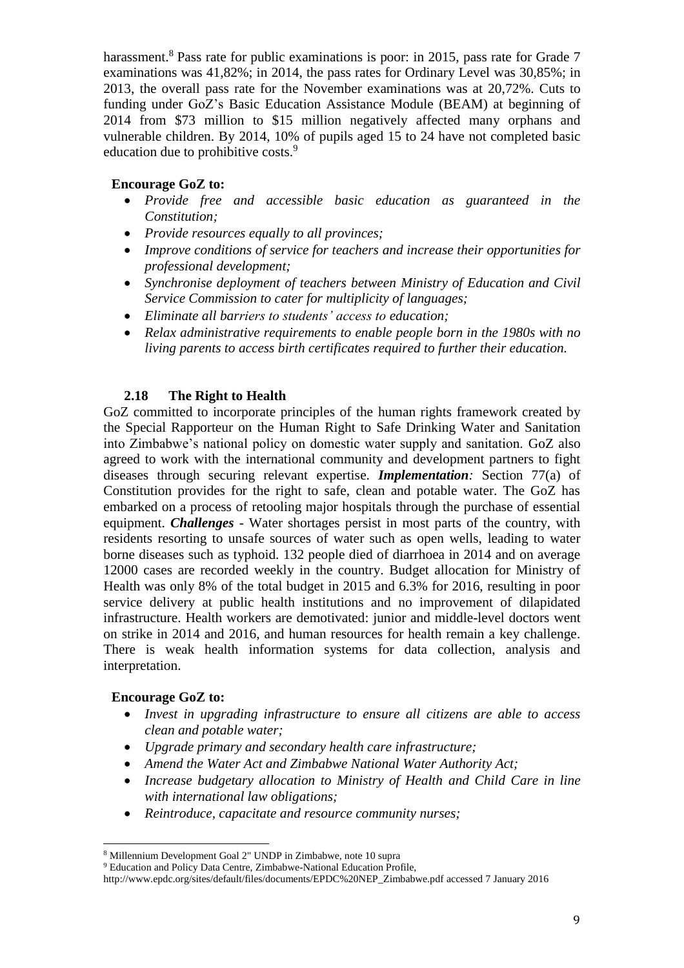harassment.<sup>8</sup> Pass rate for public examinations is poor: in 2015, pass rate for Grade 7 examinations was 41,82%; in 2014, the pass rates for Ordinary Level was 30,85%; in 2013, the overall pass rate for the November examinations was at 20,72%. Cuts to funding under GoZ's Basic Education Assistance Module (BEAM) at beginning of 2014 from \$73 million to \$15 million negatively affected many orphans and vulnerable children. By 2014, 10% of pupils aged 15 to 24 have not completed basic education due to prohibitive costs.<sup>9</sup>

### **Encourage GoZ to:**

- *Provide free and accessible basic education as guaranteed in the Constitution;*
- *Provide resources equally to all provinces;*
- *Improve conditions of service for teachers and increase their opportunities for professional development;*
- *Synchronise deployment of teachers between Ministry of Education and Civil Service Commission to cater for multiplicity of languages;*
- *Eliminate all barriers to students' access to education;*
- *Relax administrative requirements to enable people born in the 1980s with no living parents to access birth certificates required to further their education.*

### **2.18 The Right to Health**

GoZ committed to incorporate principles of the human rights framework created by the Special Rapporteur on the Human Right to Safe Drinking Water and Sanitation into Zimbabwe's national policy on domestic water supply and sanitation. GoZ also agreed to work with the international community and development partners to fight diseases through securing relevant expertise. *Implementation:* Section 77(a) of Constitution provides for the right to safe, clean and potable water. The GoZ has embarked on a process of retooling major hospitals through the purchase of essential equipment. *Challenges* - Water shortages persist in most parts of the country, with residents resorting to unsafe sources of water such as open wells, leading to water borne diseases such as typhoid. 132 people died of diarrhoea in 2014 and on average 12000 cases are recorded weekly in the country. Budget allocation for Ministry of Health was only 8% of the total budget in 2015 and 6.3% for 2016, resulting in poor service delivery at public health institutions and no improvement of dilapidated infrastructure. Health workers are demotivated: junior and middle-level doctors went on strike in 2014 and 2016, and human resources for health remain a key challenge. There is weak health information systems for data collection, analysis and interpretation.

#### **Encourage GoZ to:**

- *Invest in upgrading infrastructure to ensure all citizens are able to access clean and potable water;*
- *Upgrade primary and secondary health care infrastructure;*
- *Amend the Water Act and Zimbabwe National Water Authority Act;*
- *Increase budgetary allocation to Ministry of Health and Child Care in line with international law obligations;*
- *Reintroduce, capacitate and resource community nurses;*

<sup>8</sup> Millennium Development Goal 2" UNDP in Zimbabwe, note 10 supra

<sup>9</sup> Education and Policy Data Centre, Zimbabwe-National Education Profile,

[http://www.epdc.org/sites/default/files/documents/EPDC%20NEP\\_Zimbabwe.pdf](http://www.epdc.org/sites/default/files/documents/EPDC%20NEP_Zimbabwe.pdf) accessed 7 January 2016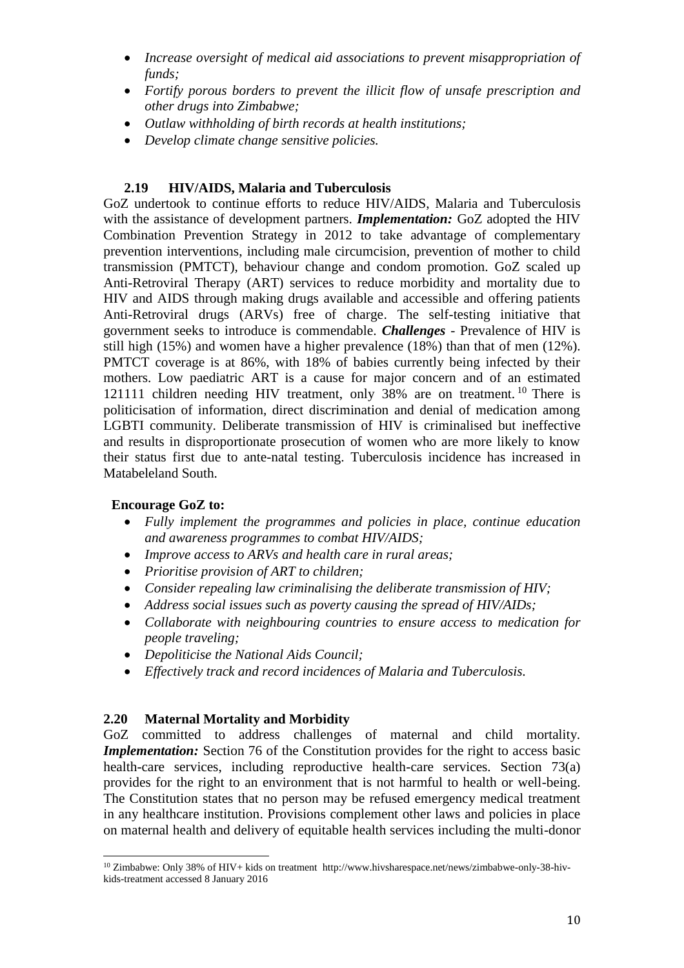- *Increase oversight of medical aid associations to prevent misappropriation of funds;*
- *Fortify porous borders to prevent the illicit flow of unsafe prescription and other drugs into Zimbabwe;*
- *Outlaw withholding of birth records at health institutions;*
- *Develop climate change sensitive policies.*

### **2.19 HIV/AIDS, Malaria and Tuberculosis**

GoZ undertook to continue efforts to reduce HIV/AIDS, Malaria and Tuberculosis with the assistance of development partners. *Implementation:* GoZ adopted the HIV Combination Prevention Strategy in 2012 to take advantage of complementary prevention interventions, including male circumcision, prevention of mother to child transmission (PMTCT), behaviour change and condom promotion. GoZ scaled up Anti-Retroviral Therapy (ART) services to reduce morbidity and mortality due to HIV and AIDS through making drugs available and accessible and offering patients Anti-Retroviral drugs (ARVs) free of charge. The self-testing initiative that government seeks to introduce is commendable. *Challenges* - Prevalence of HIV is still high (15%) and women have a higher prevalence (18%) than that of men (12%). PMTCT coverage is at 86%, with 18% of babies currently being infected by their mothers. Low paediatric ART is a cause for major concern and of an estimated 121111 children needing HIV treatment, only 38% are on treatment.<sup>10</sup> There is politicisation of information, direct discrimination and denial of medication among LGBTI community. Deliberate transmission of HIV is criminalised but ineffective and results in disproportionate prosecution of women who are more likely to know their status first due to ante-natal testing. Tuberculosis incidence has increased in Matabeleland South.

### **Encourage GoZ to:**

- *Fully implement the programmes and policies in place, continue education and awareness programmes to combat HIV/AIDS;*
- *Improve access to ARVs and health care in rural areas;*
- *Prioritise provision of ART to children;*
- *Consider repealing law criminalising the deliberate transmission of HIV;*
- *Address social issues such as poverty causing the spread of HIV/AIDs;*
- *Collaborate with neighbouring countries to ensure access to medication for people traveling;*
- *Depoliticise the National Aids Council;*
- *Effectively track and record incidences of Malaria and Tuberculosis.*

### **2.20 Maternal Mortality and Morbidity**

GoZ committed to address challenges of maternal and child mortality. *Implementation:* Section 76 of the Constitution provides for the right to access basic health-care services, including reproductive health-care services. Section 73(a) provides for the right to an environment that is not harmful to health or well-being. The Constitution states that no person may be refused emergency medical treatment in any healthcare institution. Provisions complement other laws and policies in place on maternal health and delivery of equitable health services including the multi-donor

l <sup>10</sup> Zimbabwe: Only 38% of HIV+ kids on treatment [http://www.hivsharespace.net/news/zimbabwe-only-38-hiv](http://www.hivsharespace.net/news/zimbabwe-only-38-hiv-kids-treatment)[kids-treatment](http://www.hivsharespace.net/news/zimbabwe-only-38-hiv-kids-treatment) accessed 8 January 2016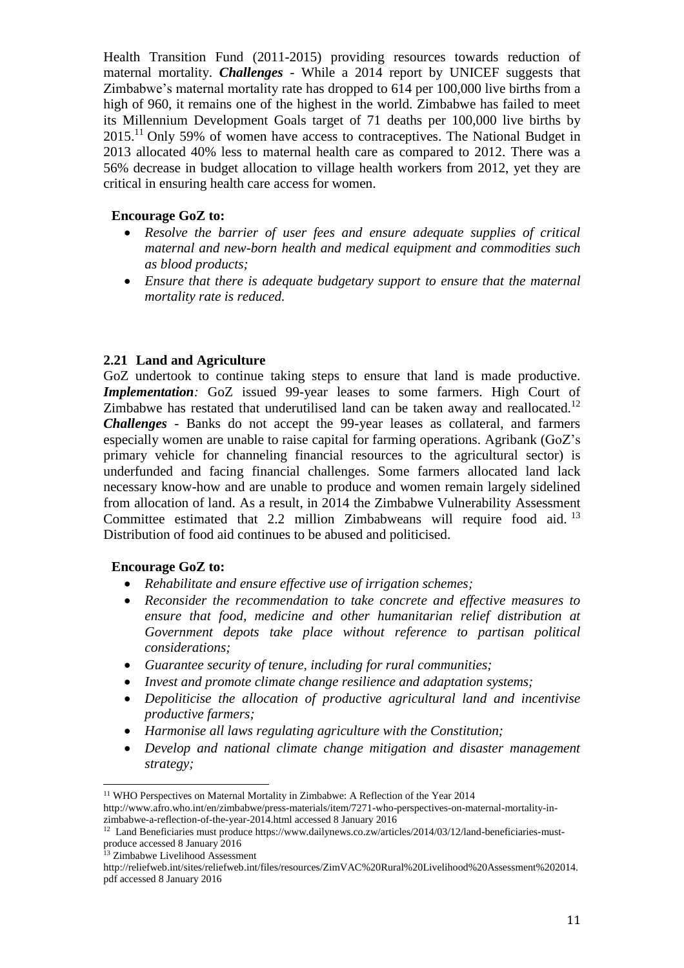Health Transition Fund (2011-2015) providing resources towards reduction of maternal mortality. *Challenges -* While a 2014 report by UNICEF suggests that Zimbabwe's maternal mortality rate has dropped to 614 per 100,000 live births from a high of 960, it remains one of the highest in the world. Zimbabwe has failed to meet its Millennium Development Goals target of 71 deaths per 100,000 live births by 2015.<sup>11</sup> Only 59% of women have access to contraceptives. The National Budget in 2013 allocated 40% less to maternal health care as compared to 2012. There was a 56% decrease in budget allocation to village health workers from 2012, yet they are critical in ensuring health care access for women.

#### **Encourage GoZ to:**

- *Resolve the barrier of user fees and ensure adequate supplies of critical maternal and new-born health and medical equipment and commodities such as blood products;*
- *Ensure that there is adequate budgetary support to ensure that the maternal mortality rate is reduced.*

### **2.21 Land and Agriculture**

GoZ undertook to continue taking steps to ensure that land is made productive. *Implementation:* GoZ issued 99-year leases to some farmers. High Court of Zimbabwe has restated that underutilised land can be taken away and reallocated.<sup>12</sup> *Challenges* - Banks do not accept the 99-year leases as collateral, and farmers especially women are unable to raise capital for farming operations. Agribank (GoZ's primary vehicle for channeling financial resources to the agricultural sector) is underfunded and facing financial challenges. Some farmers allocated land lack necessary know-how and are unable to produce and women remain largely sidelined from allocation of land. As a result, in 2014 the Zimbabwe Vulnerability Assessment Committee estimated that 2.2 million Zimbabweans will require food aid.<sup>13</sup> Distribution of food aid continues to be abused and politicised.

### **Encourage GoZ to:**

- *Rehabilitate and ensure effective use of irrigation schemes;*
- *Reconsider the recommendation to take concrete and effective measures to ensure that food, medicine and other humanitarian relief distribution at Government depots take place without reference to partisan political considerations;*
- *Guarantee security of tenure, including for rural communities;*
- *Invest and promote climate change resilience and adaptation systems;*
- *Depoliticise the allocation of productive agricultural land and incentivise productive farmers;*
- *Harmonise all laws regulating agriculture with the Constitution;*
- *Develop and national climate change mitigation and disaster management strategy;*

<sup>&</sup>lt;sup>11</sup> WHO Perspectives on Maternal Mortality in Zimbabwe: A Reflection of the Year 2014 [http://www.afro.who.int/en/zimbabwe/press-materials/item/7271-who-perspectives-on-maternal-mortality-in](http://www.afro.who.int/en/zimbabwe/press-materials/item/7271-who-perspectives-on-maternal-mortality-in-zimbabwe-a-reflection-of-the-year-2014.html)[zimbabwe-a-reflection-of-the-year-2014.html](http://www.afro.who.int/en/zimbabwe/press-materials/item/7271-who-perspectives-on-maternal-mortality-in-zimbabwe-a-reflection-of-the-year-2014.html) accessed 8 January 2016

<sup>&</sup>lt;sup>12</sup> Land Beneficiaries must produce [https://www.dailynews.co.zw/articles/2014/03/12/land-beneficiaries-must](https://www.dailynews.co.zw/articles/2014/03/12/land-beneficiaries-must-produce)[produce](https://www.dailynews.co.zw/articles/2014/03/12/land-beneficiaries-must-produce) accessed 8 January 2016

<sup>13</sup> Zimbabwe Livelihood Assessment

[http://reliefweb.int/sites/reliefweb.int/files/resources/ZimVAC%20Rural%20Livelihood%20Assessment%202014.](http://reliefweb.int/sites/reliefweb.int/files/resources/ZimVAC%20Rural%20Livelihood%20Assessment%202014.pdf) [pdf](http://reliefweb.int/sites/reliefweb.int/files/resources/ZimVAC%20Rural%20Livelihood%20Assessment%202014.pdf) accessed 8 January 2016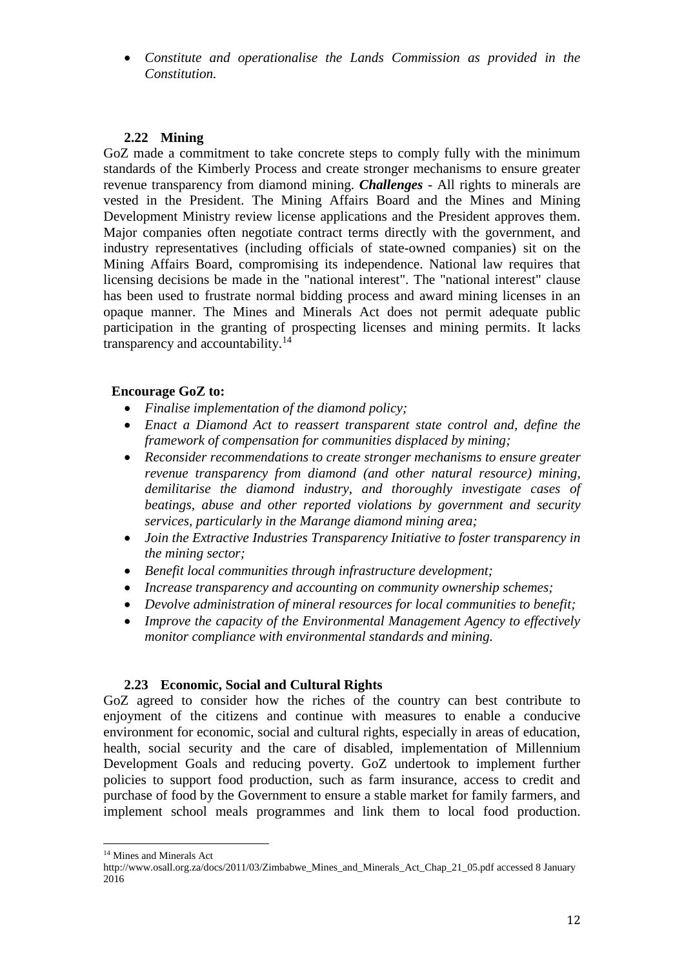*Constitute and operationalise the Lands Commission as provided in the Constitution.*

### **2.22 Mining**

GoZ made a commitment to take concrete steps to comply fully with the minimum standards of the Kimberly Process and create stronger mechanisms to ensure greater revenue transparency from diamond mining. *Challenges -* All rights to minerals are vested in the President. The Mining Affairs Board and the Mines and Mining Development Ministry review license applications and the President approves them. Major companies often negotiate contract terms directly with the government, and industry representatives (including officials of state-owned companies) sit on the Mining Affairs Board, compromising its independence. National law requires that licensing decisions be made in the "national interest". The "national interest" clause has been used to frustrate normal bidding process and award mining licenses in an opaque manner. The Mines and Minerals Act does not permit adequate public participation in the granting of prospecting licenses and mining permits. It lacks transparency and accountability.<sup>14</sup>

### **Encourage GoZ to:**

- *Finalise implementation of the diamond policy;*
- *Enact a Diamond Act to reassert transparent state control and, define the framework of compensation for communities displaced by mining;*
- *Reconsider recommendations to create stronger mechanisms to ensure greater revenue transparency from diamond (and other natural resource) mining, demilitarise the diamond industry, and thoroughly investigate cases of beatings, abuse and other reported violations by government and security services, particularly in the Marange diamond mining area;*
- *Join the Extractive Industries Transparency Initiative to foster transparency in the mining sector;*
- *Benefit local communities through infrastructure development;*
- *Increase transparency and accounting on community ownership schemes;*
- *Devolve administration of mineral resources for local communities to benefit;*
- *Improve the capacity of the Environmental Management Agency to effectively monitor compliance with environmental standards and mining.*

### **2.23 Economic, Social and Cultural Rights**

GoZ agreed to consider how the riches of the country can best contribute to enjoyment of the citizens and continue with measures to enable a conducive environment for economic, social and cultural rights, especially in areas of education, health, social security and the care of disabled, implementation of Millennium Development Goals and reducing poverty. GoZ undertook to implement further policies to support food production, such as farm insurance, access to credit and purchase of food by the Government to ensure a stable market for family farmers, and implement school meals programmes and link them to local food production.

<sup>14</sup> Mines and Minerals Act

[http://www.osall.org.za/docs/2011/03/Zimbabwe\\_Mines\\_and\\_Minerals\\_Act\\_Chap\\_21\\_05.pdf](http://www.osall.org.za/docs/2011/03/Zimbabwe_Mines_and_Minerals_Act_Chap_21_05.pdf) accessed 8 January 2016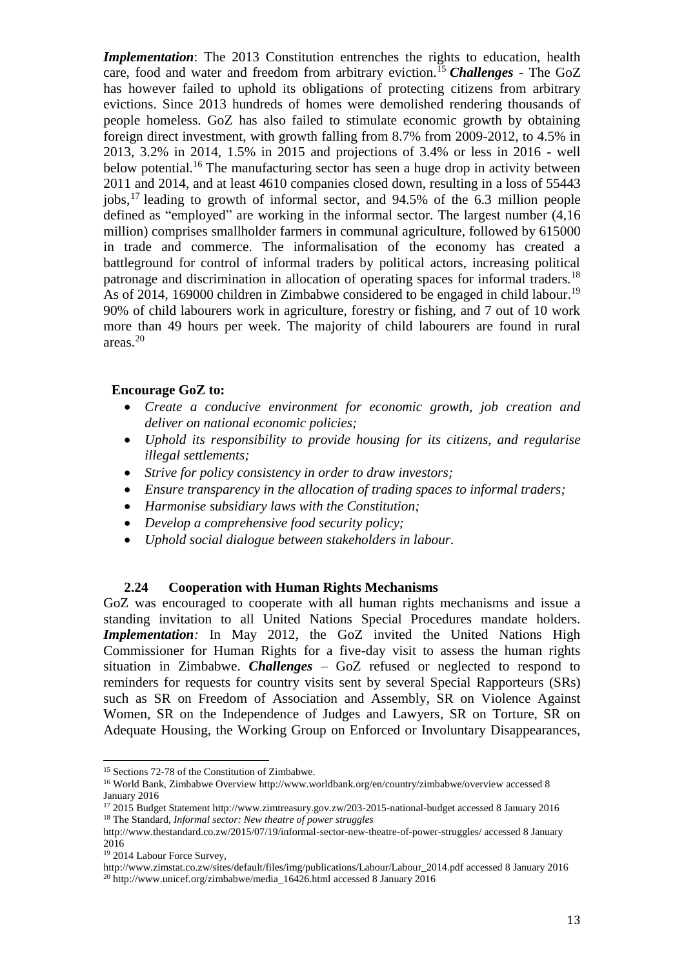*Implementation*: The 2013 Constitution entrenches the rights to education, health care, food and water and freedom from arbitrary eviction.<sup>15</sup> *Challenges -* The GoZ has however failed to uphold its obligations of protecting citizens from arbitrary evictions. Since 2013 hundreds of homes were demolished rendering thousands of people homeless. GoZ has also failed to stimulate economic growth by obtaining foreign direct investment, with growth falling from 8.7% from 2009-2012, to 4.5% in 2013, 3.2% in 2014, 1.5% in 2015 and projections of 3.4% or less in 2016 - well below potential.<sup>16</sup> The manufacturing sector has seen a huge drop in activity between 2011 and 2014, and at least 4610 companies closed down, resulting in a loss of 55443 jobs, <sup>17</sup> leading to growth of informal sector, and 94.5% of the 6.3 million people defined as "employed" are working in the informal sector. The largest number (4,16 million) comprises smallholder farmers in communal agriculture, followed by 615000 in trade and commerce. The informalisation of the economy has created a battleground for control of informal traders by political actors, increasing political patronage and discrimination in allocation of operating spaces for informal traders.<sup>18</sup> As of 2014, 169000 children in Zimbabwe considered to be engaged in child labour.<sup>19</sup> 90% of child labourers work in agriculture, forestry or fishing, and 7 out of 10 work more than 49 hours per week. The majority of child labourers are found in rural areas.<sup>20</sup>

#### **Encourage GoZ to:**

- *Create a conducive environment for economic growth, job creation and deliver on national economic policies;*
- *Uphold its responsibility to provide housing for its citizens, and regularise illegal settlements;*
- *Strive for policy consistency in order to draw investors;*
- *Ensure transparency in the allocation of trading spaces to informal traders;*
- *Harmonise subsidiary laws with the Constitution;*
- *Develop a comprehensive food security policy;*
- *Uphold social dialogue between stakeholders in labour.*

#### **2.24 Cooperation with Human Rights Mechanisms**

GoZ was encouraged to cooperate with all human rights mechanisms and issue a standing invitation to all United Nations Special Procedures mandate holders. *Implementation*: In May 2012, the GoZ invited the United Nations High Commissioner for Human Rights for a five-day visit to assess the human rights situation in Zimbabwe. *Challenges –* GoZ refused or neglected to respond to reminders for requests for country visits sent by several Special Rapporteurs (SRs) such as SR on Freedom of Association and Assembly, SR on Violence Against Women, SR on the Independence of Judges and Lawyers, SR on Torture, SR on Adequate Housing, the Working Group on Enforced or Involuntary Disappearances,

<sup>15</sup> Sections 72-78 of the Constitution of Zimbabwe.

<sup>16</sup> World Bank, Zimbabwe Overvie[w http://www.worldbank.org/en/country/zimbabwe/overview](http://www.worldbank.org/en/country/zimbabwe/overview) accessed 8 January 2016

<sup>17</sup> 2015 Budget Statement<http://www.zimtreasury.gov.zw/203-2015-national-budget> accessed 8 January 2016 <sup>18</sup> The Standard*, Informal sector: New theatre of power struggles*

<http://www.thestandard.co.zw/2015/07/19/informal-sector-new-theatre-of-power-struggles/> accessed 8 January 2016

<sup>19</sup> 2014 Labour Force Survey,

[http://www.zimstat.co.zw/sites/default/files/img/publications/Labour/Labour\\_2014.pdf](http://www.zimstat.co.zw/sites/default/files/img/publications/Labour/Labour_2014.pdf) accessed 8 January 2016 <sup>20</sup> [http://www.unicef.org/zimbabwe/media\\_16426.html](http://www.unicef.org/zimbabwe/media_16426.html) accessed 8 January 2016